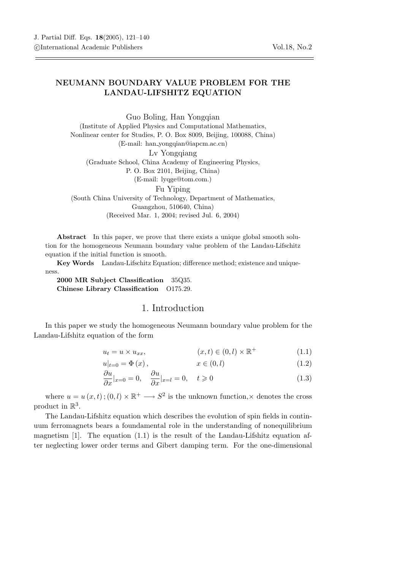## NEUMANN BOUNDARY VALUE PROBLEM FOR THE LANDAU-LIFSHITZ EQUATION

Guo Boling, Han Yongqian (Institute of Applied Physics and Computational Mathematics, Nonlinear center for Studies, P. O. Box 8009, Beijing, 100088, China) (E-mail: han yongqian@iapcm.ac.cn) Ly Yongqiang (Graduate School, China Academy of Engineering Physics, P. O. Box 2101, Beijing, China) (E-mail: lyqge@tom.com.) Fu Yiping (South China University of Technology, Department of Mathematics, Guangzhou, 510640, China) (Received Mar. 1, 2004; revised Jul. 6, 2004)

Abstract In this paper, we prove that there exists a unique global smooth solution for the homogeneous Neumann boundary value problem of the Landau-Lifschitz equation if the initial function is smooth.

Key Words Landau-Lifschitz Equation; difference method; existence and uniqueness.

2000 MR Subject Classification 35Q35. Chinese Library Classification O175.29.

## 1. Introduction

In this paper we study the homogeneous Neumann boundary value problem for the Landau-Lifshitz equation of the form

$$
u_t = u \times u_{xx}, \qquad (x, t) \in (0, l) \times \mathbb{R}^+ \tag{1.1}
$$

$$
u|_{t=0} = \Phi(x), \qquad x \in (0, l) \tag{1.2}
$$

$$
\frac{\partial u}{\partial x}|_{x=0} = 0, \quad \frac{\partial u}{\partial x}|_{x=l} = 0, \quad t \geqslant 0 \tag{1.3}
$$

where  $u = u(x, t)$ ;  $(0, l) \times \mathbb{R}^+ \longrightarrow S^2$  is the unknown function,  $\times$  denotes the cross product in  $\mathbb{R}^3$ .

The Landau-Lifshitz equation which describes the evolution of spin fields in continuum ferromagnets bears a foundamental role in the understanding of nonequilibrium magnetism  $[1]$ . The equation  $(1.1)$  is the result of the Landau-Lifshitz equation after neglecting lower order terms and Gibert damping term. For the one-dimensional